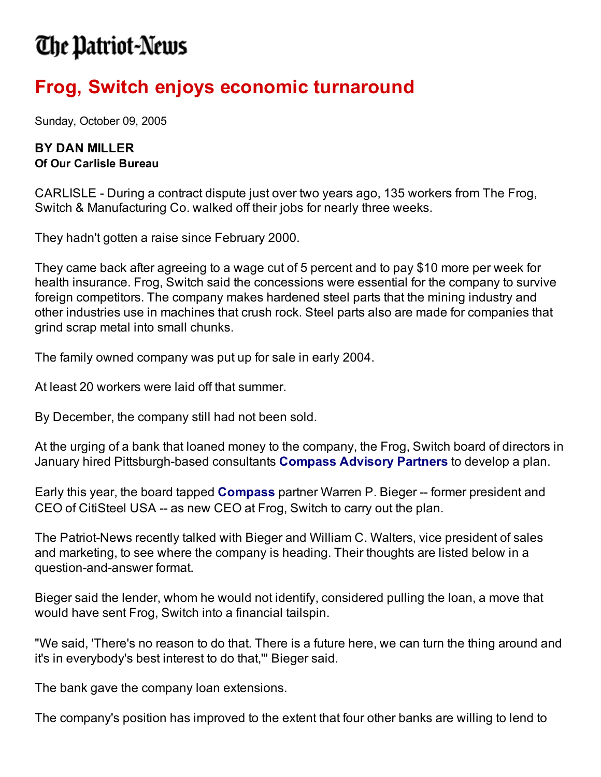## The Patriot-News

## **Frog, Switch enjoys economic turnaround**

Sunday, October 09, 2005

## **BY DAN MILLER Of Our Carlisle Bureau**

CARLISLE - During a contract dispute just over two years ago, 135 workers from The Frog, Switch & Manufacturing Co. walked off their jobs for nearly three weeks.

They hadn't gotten a raise since February 2000.

They came back after agreeing to a wage cut of 5 percent and to pay \$10 more per week for health insurance. Frog, Switch said the concessions were essential for the company to survive foreign competitors. The company makes hardened steel parts that the mining industry and other industries use in machines that crush rock. Steel parts also are made for companies that grind scrap metal into small chunks.

The family owned company was put up for sale in early 2004.

At least 20 workers were laid off that summer.

By December, the company still had not been sold.

At the urging of a bank that loaned money to the company, the Frog, Switch board of directors in January hired Pittsburgh-based consultants **Compass Advisory Partners** to develop a plan.

Early this year, the board tapped **Compass** partner Warren P. Bieger -- former president and CEO of CitiSteel USA -- as new CEO at Frog, Switch to carry out the plan.

The Patriot-News recently talked with Bieger and William C. Walters, vice president of sales and marketing, to see where the company is heading. Their thoughts are listed below in a question-and-answer format.

Bieger said the lender, whom he would not identify, considered pulling the loan, a move that would have sent Frog, Switch into a financial tailspin.

"We said, 'There's no reason to do that. There is a future here, we can turn the thing around and it's in everybody's best interest to do that,'" Bieger said.

The bank gave the company loan extensions.

The company's position has improved to the extent that four other banks are willing to lend to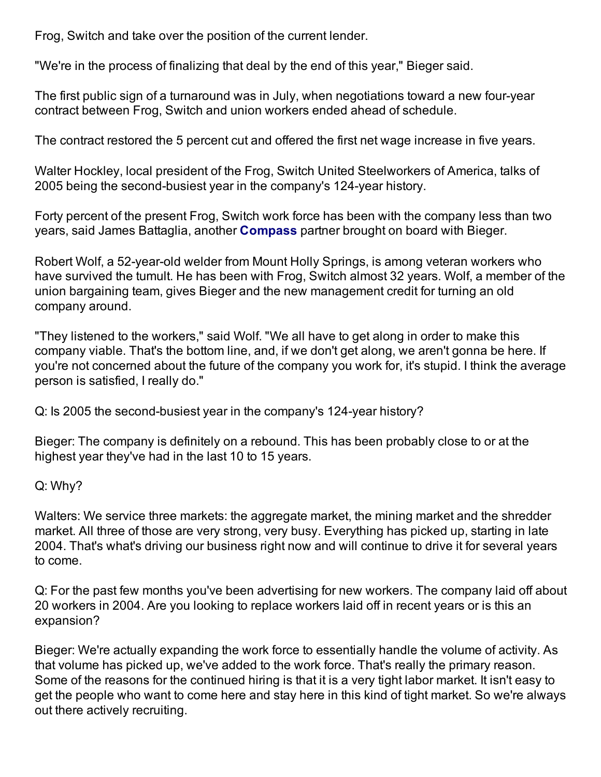Frog, Switch and take over the position of the current lender.

"We're in the process of finalizing that deal by the end of this year," Bieger said.

The first public sign of a turnaround was in July, when negotiations toward a new four-year contract between Frog, Switch and union workers ended ahead of schedule.

The contract restored the 5 percent cut and offered the first net wage increase in five years.

Walter Hockley, local president of the Frog, Switch United Steelworkers of America, talks of 2005 being the second-busiest year in the company's 124-year history.

Forty percent of the present Frog, Switch work force has been with the company less than two years, said James Battaglia, another **Compass** partner brought on board with Bieger.

Robert Wolf, a 52-year-old welder from Mount Holly Springs, is among veteran workers who have survived the tumult. He has been with Frog, Switch almost 32 years. Wolf, a member of the union bargaining team, gives Bieger and the new management credit for turning an old company around.

"They listened to the workers," said Wolf. "We all have to get along in order to make this company viable. That's the bottom line, and, if we don't get along, we aren't gonna be here. If you're not concerned about the future of the company you work for, it's stupid. I think the average person is satisfied, I really do."

Q: Is 2005 the second-busiest year in the company's 124-year history?

Bieger: The company is definitely on a rebound. This has been probably close to or at the highest year they've had in the last 10 to 15 years.

Q: Why?

Walters: We service three markets: the aggregate market, the mining market and the shredder market. All three of those are very strong, very busy. Everything has picked up, starting in late 2004. That's what's driving our business right now and will continue to drive it for several years to come.

Q: For the past few months you've been advertising for new workers. The company laid off about 20 workers in 2004. Are you looking to replace workers laid off in recent years or is this an expansion?

Bieger: We're actually expanding the work force to essentially handle the volume of activity. As that volume has picked up, we've added to the work force. That's really the primary reason. Some of the reasons for the continued hiring is that it is a very tight labor market. It isn't easy to get the people who want to come here and stay here in this kind of tight market. So we're always out there actively recruiting.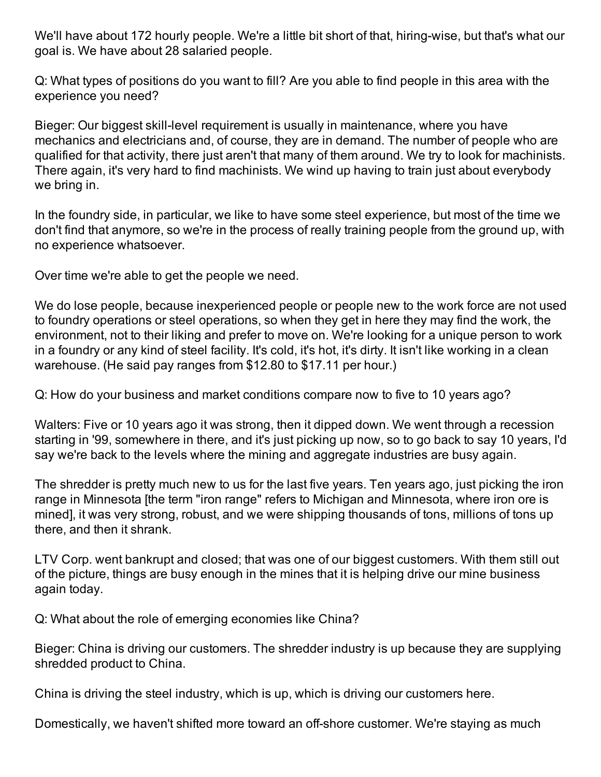We'll have about 172 hourly people. We're a little bit short of that, hiring-wise, but that's what our goal is. We have about 28 salaried people.

Q: What types of positions do you want to fill? Are you able to find people in this area with the experience you need?

Bieger: Our biggest skill-level requirement is usually in maintenance, where you have mechanics and electricians and, of course, they are in demand. The number of people who are qualified for that activity, there just aren't that many of them around. We try to look for machinists. There again, it's very hard to find machinists. We wind up having to train just about everybody we bring in.

In the foundry side, in particular, we like to have some steel experience, but most of the time we don't find that anymore, so we're in the process of really training people from the ground up, with no experience whatsoever.

Over time we're able to get the people we need.

We do lose people, because inexperienced people or people new to the work force are not used to foundry operations or steel operations, so when they get in here they may find the work, the environment, not to their liking and prefer to move on. We're looking for a unique person to work in a foundry or any kind of steel facility. It's cold, it's hot, it's dirty. It isn't like working in a clean warehouse. (He said pay ranges from \$12.80 to \$17.11 per hour.)

Q: How do your business and market conditions compare now to five to 10 years ago?

Walters: Five or 10 years ago it was strong, then it dipped down. We went through a recession starting in '99, somewhere in there, and it's just picking up now, so to go back to say 10 years, I'd say we're back to the levels where the mining and aggregate industries are busy again.

The shredder is pretty much new to us for the last five years. Ten years ago, just picking the iron range in Minnesota [the term "iron range" refers to Michigan and Minnesota, where iron ore is mined], it was very strong, robust, and we were shipping thousands of tons, millions of tons up there, and then it shrank.

LTV Corp. went bankrupt and closed; that was one of our biggest customers. With them still out of the picture, things are busy enough in the mines that it is helping drive our mine business again today.

Q: What about the role of emerging economies like China?

Bieger: China is driving our customers. The shredder industry is up because they are supplying shredded product to China.

China is driving the steel industry, which is up, which is driving our customers here.

Domestically, we haven't shifted more toward an off-shore customer. We're staying as much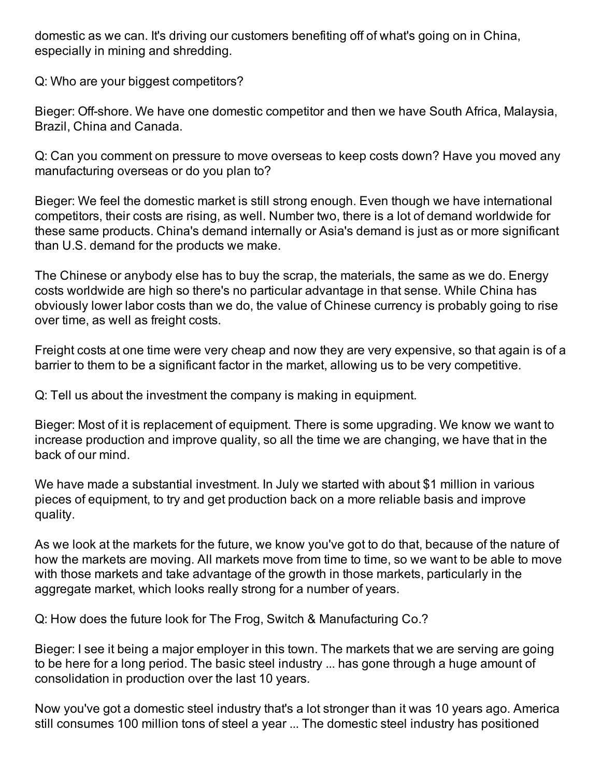domestic as we can. It's driving our customers benefiting off of what's going on in China, especially in mining and shredding.

Q: Who are your biggest competitors?

Bieger: Off-shore. We have one domestic competitor and then we have South Africa, Malaysia, Brazil, China and Canada.

Q: Can you comment on pressure to move overseas to keep costs down? Have you moved any manufacturing overseas or do you plan to?

Bieger: We feel the domestic market is still strong enough. Even though we have international competitors, their costs are rising, as well. Number two, there is a lot of demand worldwide for these same products. China's demand internally or Asia's demand is just as or more significant than U.S. demand for the products we make.

The Chinese or anybody else has to buy the scrap, the materials, the same as we do. Energy costs worldwide are high so there's no particular advantage in that sense. While China has obviously lower labor costs than we do, the value of Chinese currency is probably going to rise over time, as well as freight costs.

Freight costs at one time were very cheap and now they are very expensive, so that again is of a barrier to them to be a significant factor in the market, allowing us to be very competitive.

Q: Tell us about the investment the company is making in equipment.

Bieger: Most of it is replacement of equipment. There is some upgrading. We know we want to increase production and improve quality, so all the time we are changing, we have that in the back of our mind.

We have made a substantial investment. In July we started with about \$1 million in various pieces of equipment, to try and get production back on a more reliable basis and improve quality.

As we look at the markets for the future, we know you've got to do that, because of the nature of how the markets are moving. All markets move from time to time, so we want to be able to move with those markets and take advantage of the growth in those markets, particularly in the aggregate market, which looks really strong for a number of years.

Q: How does the future look for The Frog, Switch & Manufacturing Co.?

Bieger: I see it being a major employer in this town. The markets that we are serving are going to be here for a long period. The basic steel industry ... has gone through a huge amount of consolidation in production over the last 10 years.

Now you've got a domestic steel industry that's a lot stronger than it was 10 years ago. America still consumes 100 million tons of steel a year ... The domestic steel industry has positioned